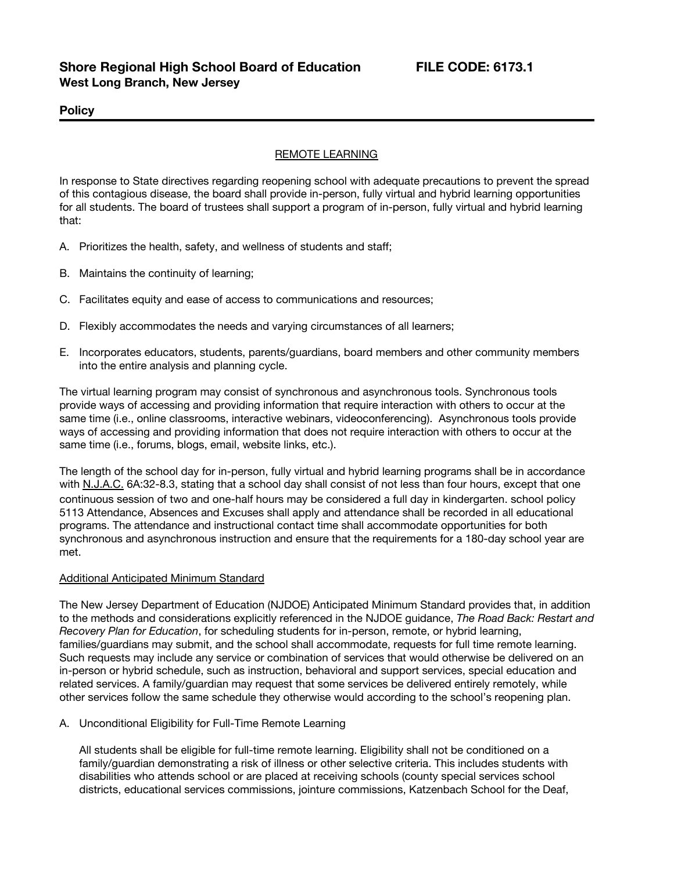# **Policy**

# REMOTE LEARNING

In response to State directives regarding reopening school with adequate precautions to prevent the spread of this contagious disease, the board shall provide in-person, fully virtual and hybrid learning opportunities for all students. The board of trustees shall support a program of in-person, fully virtual and hybrid learning that:

- A. Prioritizes the health, safety, and wellness of students and staff;
- B. Maintains the continuity of learning;
- C. Facilitates equity and ease of access to communications and resources;
- D. Flexibly accommodates the needs and varying circumstances of all learners;
- E. Incorporates educators, students, parents/guardians, board members and other community members into the entire analysis and planning cycle.

The virtual learning program may consist of synchronous and asynchronous tools. Synchronous tools provide ways of accessing and providing information that require interaction with others to occur at the same time (i.e., online classrooms, interactive webinars, videoconferencing). Asynchronous tools provide ways of accessing and providing information that does not require interaction with others to occur at the same time (i.e., forums, blogs, email, website links, etc.).

The length of the school day for in-person, fully virtual and hybrid learning programs shall be in accordance with N.J.A.C. 6A:32-8.3, stating that a school day shall consist of not less than four hours, except that one continuous session of two and one-half hours may be considered a full day in kindergarten. school policy 5113 Attendance, Absences and Excuses shall apply and attendance shall be recorded in all educational programs. The attendance and instructional contact time shall accommodate opportunities for both synchronous and asynchronous instruction and ensure that the requirements for a 180-day school year are met.

### Additional Anticipated Minimum Standard

The New Jersey Department of Education (NJDOE) Anticipated Minimum Standard provides that, in addition to the methods and considerations explicitly referenced in the NJDOE guidance, *The Road Back: Restart and Recovery Plan for Education*, for scheduling students for in-person, remote, or hybrid learning, families/guardians may submit, and the school shall accommodate, requests for full time remote learning. Such requests may include any service or combination of services that would otherwise be delivered on an in-person or hybrid schedule, such as instruction, behavioral and support services, special education and related services. A family/guardian may request that some services be delivered entirely remotely, while other services follow the same schedule they otherwise would according to the school's reopening plan.

A. Unconditional Eligibility for Full-Time Remote Learning

All students shall be eligible for full-time remote learning. Eligibility shall not be conditioned on a family/guardian demonstrating a risk of illness or other selective criteria. This includes students with disabilities who attends school or are placed at receiving schools (county special services school districts, educational services commissions, jointure commissions, Katzenbach School for the Deaf,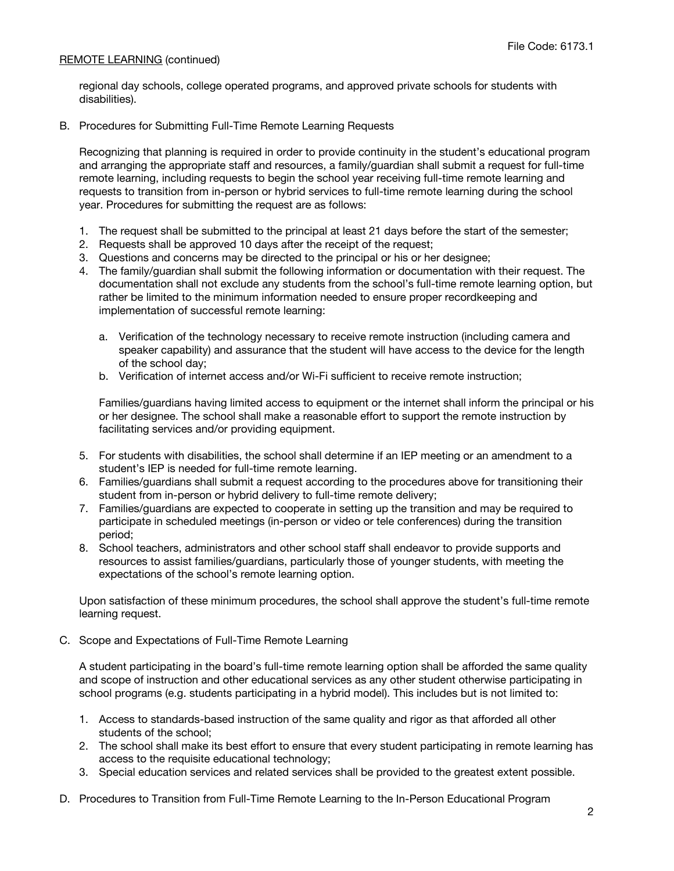## REMOTE LEARNING (continued)

regional day schools, college operated programs, and approved private schools for students with disabilities).

B. Procedures for Submitting Full-Time Remote Learning Requests

Recognizing that planning is required in order to provide continuity in the student's educational program and arranging the appropriate staff and resources, a family/guardian shall submit a request for full-time remote learning, including requests to begin the school year receiving full-time remote learning and requests to transition from in-person or hybrid services to full-time remote learning during the school year. Procedures for submitting the request are as follows:

- 1. The request shall be submitted to the principal at least 21 days before the start of the semester;
- 2. Requests shall be approved 10 days after the receipt of the request;
- 3. Questions and concerns may be directed to the principal or his or her designee;
- 4. The family/guardian shall submit the following information or documentation with their request. The documentation shall not exclude any students from the school's full-time remote learning option, but rather be limited to the minimum information needed to ensure proper recordkeeping and implementation of successful remote learning:
	- a. Verification of the technology necessary to receive remote instruction (including camera and speaker capability) and assurance that the student will have access to the device for the length of the school day;
	- b. Verification of internet access and/or Wi-Fi sufficient to receive remote instruction;

Families/guardians having limited access to equipment or the internet shall inform the principal or his or her designee. The school shall make a reasonable effort to support the remote instruction by facilitating services and/or providing equipment.

- 5. For students with disabilities, the school shall determine if an IEP meeting or an amendment to a student's IEP is needed for full-time remote learning.
- 6. Families/guardians shall submit a request according to the procedures above for transitioning their student from in-person or hybrid delivery to full-time remote delivery;
- 7. Families/guardians are expected to cooperate in setting up the transition and may be required to participate in scheduled meetings (in-person or video or tele conferences) during the transition period;
- 8. School teachers, administrators and other school staff shall endeavor to provide supports and resources to assist families/guardians, particularly those of younger students, with meeting the expectations of the school's remote learning option.

Upon satisfaction of these minimum procedures, the school shall approve the student's full-time remote learning request.

C. Scope and Expectations of Full-Time Remote Learning

A student participating in the board's full-time remote learning option shall be afforded the same quality and scope of instruction and other educational services as any other student otherwise participating in school programs (e.g. students participating in a hybrid model). This includes but is not limited to:

- 1. Access to standards-based instruction of the same quality and rigor as that afforded all other students of the school;
- 2. The school shall make its best effort to ensure that every student participating in remote learning has access to the requisite educational technology;
- 3. Special education services and related services shall be provided to the greatest extent possible.
- D. Procedures to Transition from Full-Time Remote Learning to the In-Person Educational Program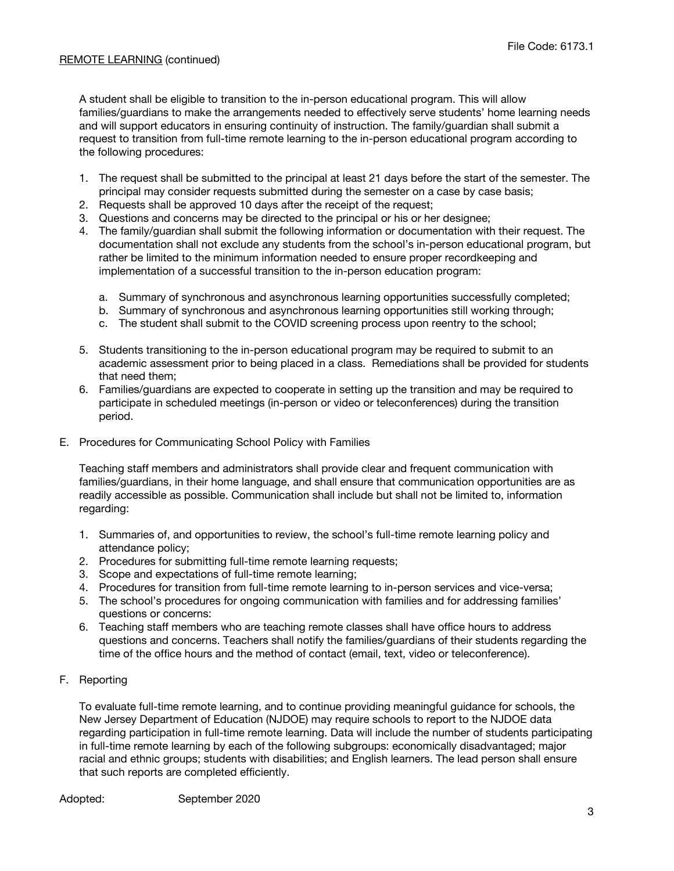A student shall be eligible to transition to the in-person educational program. This will allow families/guardians to make the arrangements needed to effectively serve students' home learning needs and will support educators in ensuring continuity of instruction. The family/guardian shall submit a request to transition from full-time remote learning to the in-person educational program according to the following procedures:

- 1. The request shall be submitted to the principal at least 21 days before the start of the semester. The principal may consider requests submitted during the semester on a case by case basis;
- 2. Requests shall be approved 10 days after the receipt of the request;
- 3. Questions and concerns may be directed to the principal or his or her designee;
- 4. The family/guardian shall submit the following information or documentation with their request. The documentation shall not exclude any students from the school's in-person educational program, but rather be limited to the minimum information needed to ensure proper recordkeeping and implementation of a successful transition to the in-person education program:
	- a. Summary of synchronous and asynchronous learning opportunities successfully completed;
	- b. Summary of synchronous and asynchronous learning opportunities still working through;
	- c. The student shall submit to the COVID screening process upon reentry to the school;
- 5. Students transitioning to the in-person educational program may be required to submit to an academic assessment prior to being placed in a class. Remediations shall be provided for students that need them;
- 6. Families/guardians are expected to cooperate in setting up the transition and may be required to participate in scheduled meetings (in-person or video or teleconferences) during the transition period.
- E. Procedures for Communicating School Policy with Families

Teaching staff members and administrators shall provide clear and frequent communication with families/guardians, in their home language, and shall ensure that communication opportunities are as readily accessible as possible. Communication shall include but shall not be limited to, information regarding:

- 1. Summaries of, and opportunities to review, the school's full-time remote learning policy and attendance policy;
- 2. Procedures for submitting full-time remote learning requests;
- 3. Scope and expectations of full-time remote learning;
- 4. Procedures for transition from full-time remote learning to in-person services and vice-versa;
- 5. The school's procedures for ongoing communication with families and for addressing families' questions or concerns:
- 6. Teaching staff members who are teaching remote classes shall have office hours to address questions and concerns. Teachers shall notify the families/guardians of their students regarding the time of the office hours and the method of contact (email, text, video or teleconference).
- F. Reporting

To evaluate full-time remote learning, and to continue providing meaningful guidance for schools, the New Jersey Department of Education (NJDOE) may require schools to report to the NJDOE data regarding participation in full-time remote learning. Data will include the number of students participating in full-time remote learning by each of the following subgroups: economically disadvantaged; major racial and ethnic groups; students with disabilities; and English learners. The lead person shall ensure that such reports are completed efficiently.